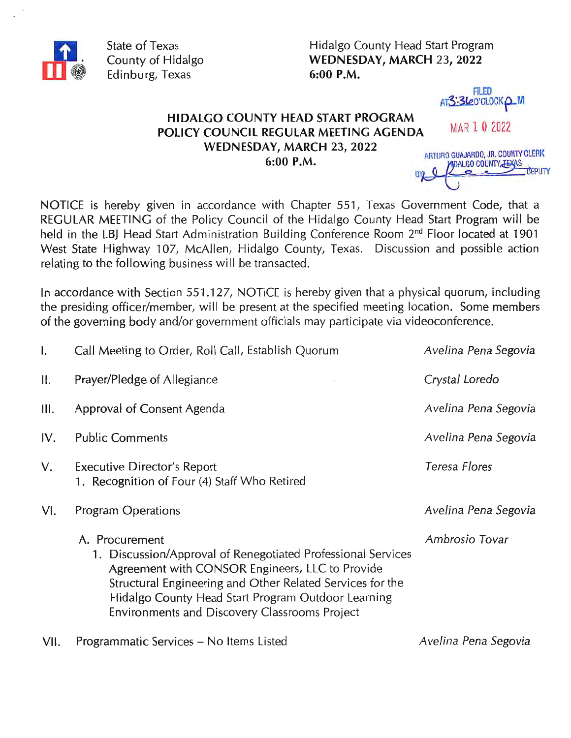

State of Texas County of Hidalgo Edinburg, Texas

Hidalgo County Head Start Program WEDNESDAY, MARCH 23, 2022 6:00 P.M.

> **FILED** AT3:360'CLOCKQM

HIDALGO COUNTY HEAD START PROGRAM POLICY COUNCIL REGULAR MEETING AGENDA WEDNESDAY, MARCH 23, 2022 6:00 P.M.

ARTURO GUAJARDO, JR. COUNTY CLERK DALGO COUNTY JE PUlY **BY** 

MAR 1 0 2022

NOTICE is hereby given in accordance with Chapter 551, Texas Government Code, that a REGULAR MEETING of the Policy Council of the Hidalgo County Head Start Program will be held in the LBJ Head Start Administration Building Conference Room 2<sup>nd</sup> Floor located at 1901 West State Highway 107, McAllen, Hidalgo County, Texas. Discussion and possible action relating to the following business will be transacted.

In accordance with Section 551.127, NOTICE is hereby given that a physical quorum, including the presiding officer/member, will be present at the specified meeting location. Some members of the governing body and/or government officials may participate via videoconference.

| $\mathbf{I}$ . | Call Meeting to Order, Roll Call, Establish Quorum                                                                                                                                                                                                                                                    | Avelina Pena Segovia |
|----------------|-------------------------------------------------------------------------------------------------------------------------------------------------------------------------------------------------------------------------------------------------------------------------------------------------------|----------------------|
| ΙΙ.            | Prayer/Pledge of Allegiance                                                                                                                                                                                                                                                                           | Crystal Loredo       |
| Ш.             | Approval of Consent Agenda                                                                                                                                                                                                                                                                            | Avelina Pena Segovia |
| IV.            | <b>Public Comments</b>                                                                                                                                                                                                                                                                                | Avelina Pena Segovia |
| V.             | Executive Director's Report<br>1. Recognition of Four (4) Staff Who Retired                                                                                                                                                                                                                           | Teresa Flores        |
| VI.            | <b>Program Operations</b>                                                                                                                                                                                                                                                                             | Avelina Pena Segovia |
|                | A. Procurement<br>1. Discussion/Approval of Renegotiated Professional Services<br>Agreement with CONSOR Engineers, LLC to Provide<br>Structural Engineering and Other Related Services for the<br>Hidalgo County Head Start Program Outdoor Learning<br>Environments and Discovery Classrooms Project | Ambrosio Tovar       |
|                |                                                                                                                                                                                                                                                                                                       |                      |

VII. Programmatic Services – No Items Listed and Avelina Pena Segovia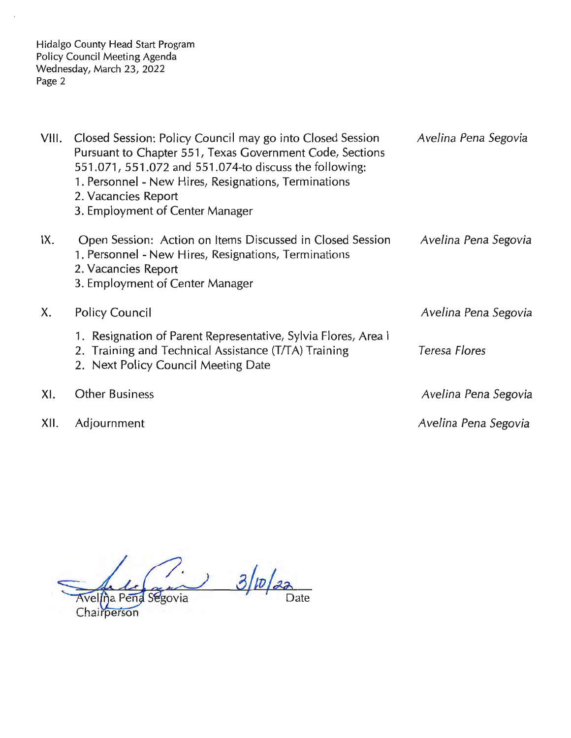Hidalgo County Head Start Program Policy Council Meeting Agenda Wednesday, March 23, 2022 Page 2

| VIII. | Closed Session: Policy Council may go into Closed Session<br>Pursuant to Chapter 551, Texas Government Code, Sections<br>551,071, 551,072 and 551,074-to discuss the following:<br>1. Personnel - New Hires, Resignations, Terminations<br>2. Vacancies Report<br>3. Employment of Center Manager | Avelina Pena Segovia |
|-------|---------------------------------------------------------------------------------------------------------------------------------------------------------------------------------------------------------------------------------------------------------------------------------------------------|----------------------|
| IX.   | Open Session: Action on Items Discussed in Closed Session<br>1. Personnel - New Hires, Resignations, Terminations<br>2. Vacancies Report<br>3. Employment of Center Manager                                                                                                                       | Avelina Pena Segovia |
| X.    | <b>Policy Council</b>                                                                                                                                                                                                                                                                             | Avelina Pena Segovia |
|       | 1. Resignation of Parent Representative, Sylvia Flores, Area I<br>2. Training and Technical Assistance (T/TA) Training<br>2. Next Policy Council Meeting Date                                                                                                                                     | Teresa Flores        |
| XI.   | <b>Other Business</b>                                                                                                                                                                                                                                                                             | Avelina Pena Segovia |
| XII.  | Adjournment                                                                                                                                                                                                                                                                                       | Avelina Pena Segovia |

 $3/p/22$ Avelina Pena Segovia